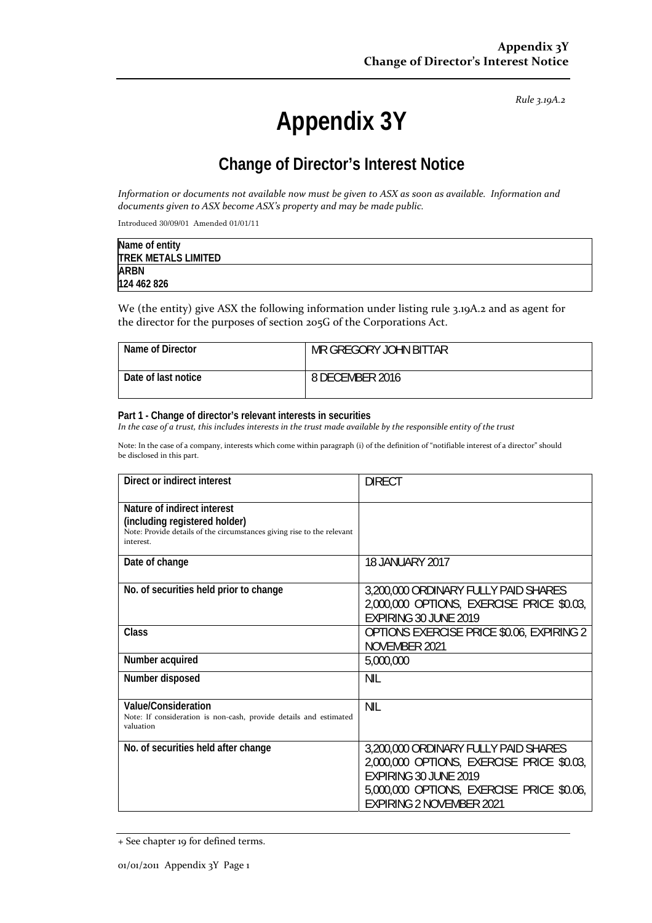*Rule 3.19A.2*

# **Appendix 3Y**

# **Change of Director's Interest Notice**

Information or documents not available now must be given to ASX as soon as available. Information and *documents given to ASX become ASX's property and may be made public.*

Introduced 30/09/01 Amended 01/01/11

| Name of entity             |  |
|----------------------------|--|
| <b>TREK METALS LIMITED</b> |  |
| <b>ARBN</b>                |  |
| 124 462 826                |  |

We (the entity) give ASX the following information under listing rule 3.19A.2 and as agent for the director for the purposes of section 205G of the Corporations Act.

| Name of Director    | MR GREGORY JOHN BITTAR |
|---------------------|------------------------|
| Date of last notice | 8 DECEMBER 2016        |

#### **Part 1 - Change of director's relevant interests in securities**

In the case of a trust, this includes interests in the trust made available by the responsible entity of the trust

Note: In the case of a company, interests which come within paragraph (i) of the definition of "notifiable interest of a director" should be disclosed in this part.

| Direct or indirect interest                                                                                                                         | <b>DIRECT</b>                                                                                                                                                                              |
|-----------------------------------------------------------------------------------------------------------------------------------------------------|--------------------------------------------------------------------------------------------------------------------------------------------------------------------------------------------|
| Nature of indirect interest<br>(including registered holder)<br>Note: Provide details of the circumstances giving rise to the relevant<br>interest. |                                                                                                                                                                                            |
| Date of change                                                                                                                                      | 18 JANUARY 2017                                                                                                                                                                            |
| No. of securities held prior to change                                                                                                              | 3,200,000 ORDINARY FULLY PAID SHARES<br>2,000,000 OPTIONS, EXERCISE PRICE \$0.03,<br>EXPIRING 30 JUNE 2019                                                                                 |
| Class                                                                                                                                               | OPTIONS EXERCISE PRICE \$0.06, EXPIRING 2<br>NOVEMBER 2021                                                                                                                                 |
| Number acquired                                                                                                                                     | 5,000,000                                                                                                                                                                                  |
| Number disposed                                                                                                                                     | <b>NIL</b>                                                                                                                                                                                 |
| Value/Consideration<br>Note: If consideration is non-cash, provide details and estimated<br>valuation                                               | <b>NIL</b>                                                                                                                                                                                 |
| No. of securities held after change                                                                                                                 | 3,200,000 ORDINARY FULLY PAID SHARES<br>2,000,000 OPTIONS, EXERCISE PRICE \$0.03,<br>EXPIRING 30 JUNE 2019<br>5,000,000 OPTIONS, EXERCISE PRICE \$0.06,<br><b>EXPIRING 2 NOVEMBER 2021</b> |

<sup>+</sup> See chapter 19 for defined terms.